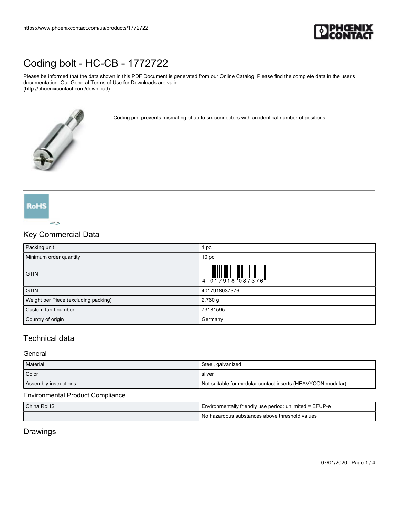

Please be informed that the data shown in this PDF Document is generated from our Online Catalog. Please find the complete data in the user's documentation. Our General Terms of Use for Downloads are valid (http://phoenixcontact.com/download)

Coding pin, prevents mismating of up to six connectors with an identical number of positions

**RoHS** COPPLETE Ree

### Key Commercial Data

| Packing unit                         | 1 pc                                                                                                                                                                                                                                                                                                                      |
|--------------------------------------|---------------------------------------------------------------------------------------------------------------------------------------------------------------------------------------------------------------------------------------------------------------------------------------------------------------------------|
| Minimum order quantity               | 10 <sub>pc</sub>                                                                                                                                                                                                                                                                                                          |
| <b>GTIN</b>                          | $\begin{array}{c} 1 & 0 & 0 & 0 & 0 \\ 0 & 0 & 1 & 0 & 0 & 0 \\ 0 & 0 & 1 & 0 & 0 & 0 \\ 0 & 0 & 0 & 0 & 0 & 0 \\ 0 & 0 & 0 & 0 & 0 & 0 \\ 0 & 0 & 0 & 0 & 0 & 0 \\ 0 & 0 & 0 & 0 & 0 & 0 \\ 0 & 0 & 0 & 0 & 0 & 0 \\ 0 & 0 & 0 & 0 & 0 & 0 & 0 \\ 0 & 0 & 0 & 0 & 0 & 0 & 0 \\ 0 & 0 & 0 & 0 & 0 & 0 & 0 \\ 0 & 0 & 0 &$ |
| <b>GTIN</b>                          | 4017918037376                                                                                                                                                                                                                                                                                                             |
| Weight per Piece (excluding packing) | $2.760$ g                                                                                                                                                                                                                                                                                                                 |
| Custom tariff number                 | 73181595                                                                                                                                                                                                                                                                                                                  |
| Country of origin                    | Germany                                                                                                                                                                                                                                                                                                                   |

## Technical data

#### **General**

| Material              | Steel, galvanized                                            |
|-----------------------|--------------------------------------------------------------|
| Color                 | silver                                                       |
| Assembly instructions | Not suitable for modular contact inserts (HEAVYCON modular). |

#### Environmental Product Compliance

| China RoHS | Environmentally friendly use period: unlimited = EFUP-e |
|------------|---------------------------------------------------------|
|            | No<br>hazardous substances above threshold values ر     |

## Drawings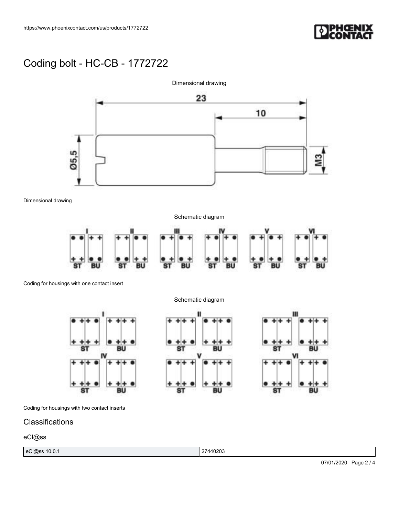



Dimensional drawing

Schematic diagram



Coding for housings with one contact insert

Schematic diagram







Coding for housings with two contact inserts

### **Classifications**

### eCl@ss

|--|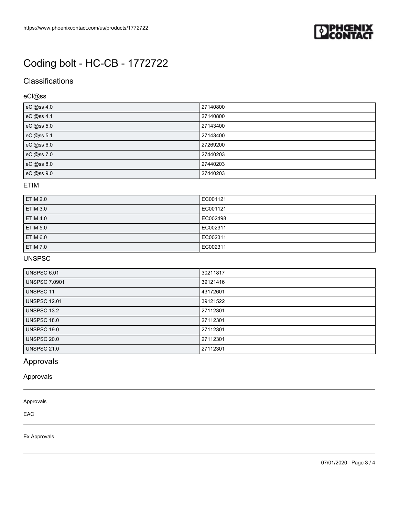

## **Classifications**

eCl@ss

| eCl@ss 4.0 | 27140800 |
|------------|----------|
| eCl@ss 4.1 | 27140800 |
| eCl@ss 5.0 | 27143400 |
| eCl@ss 5.1 | 27143400 |
| eCl@ss 6.0 | 27269200 |
| eCl@ss 7.0 | 27440203 |
| eCl@ss 8.0 | 27440203 |
| eCl@ss 9.0 | 27440203 |

#### ETIM

| <b>ETIM 2.0</b> | EC001121 |
|-----------------|----------|
| <b>ETIM 3.0</b> | EC001121 |
| <b>ETIM 4.0</b> | EC002498 |
| <b>ETIM 5.0</b> | EC002311 |
| <b>ETIM 6.0</b> | EC002311 |
| <b>ETIM 7.0</b> | EC002311 |

### UNSPSC

| <b>UNSPSC 6.01</b>   | 30211817 |
|----------------------|----------|
| <b>UNSPSC 7.0901</b> | 39121416 |
| <b>UNSPSC 11</b>     | 43172601 |
| <b>UNSPSC 12.01</b>  | 39121522 |
| <b>UNSPSC 13.2</b>   | 27112301 |
| <b>UNSPSC 18.0</b>   | 27112301 |
| <b>UNSPSC 19.0</b>   | 27112301 |
| <b>UNSPSC 20.0</b>   | 27112301 |
| <b>UNSPSC 21.0</b>   | 27112301 |

## Approvals

Approvals

#### Approvals

EAC

Ex Approvals